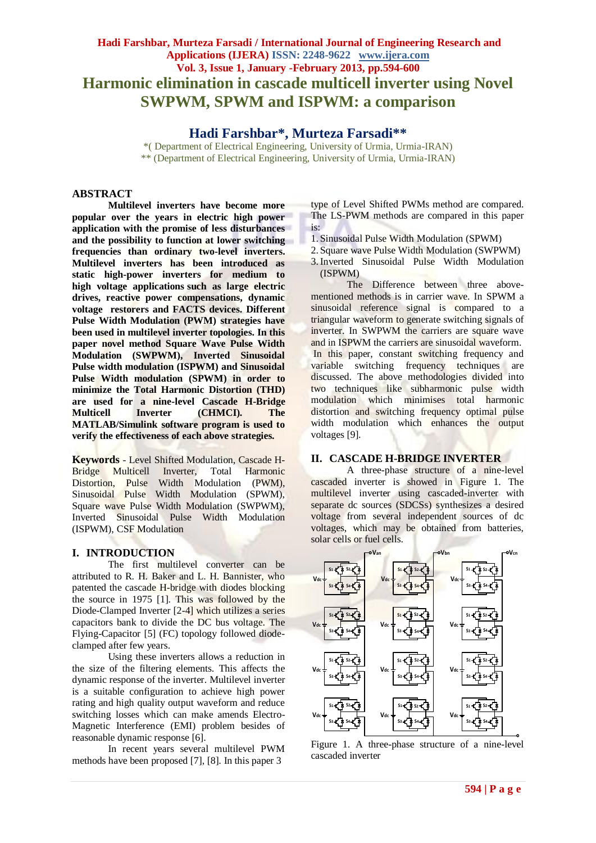# **Hadi Farshbar, Murteza Farsadi / International Journal of Engineering Research and Applications (IJERA) ISSN: 2248-9622 www.ijera.com Vol. 3, Issue 1, January -February 2013, pp.594-600 Harmonic elimination in cascade multicell inverter using Novel SWPWM, SPWM and ISPWM: a comparison**

**Hadi Farshbar\*, Murteza Farsadi\*\***

\*( Department of Electrical Engineering, University of Urmia, Urmia-IRAN) \*\* (Department of Electrical Engineering, University of Urmia, Urmia-IRAN)

# **ABSTRACT**

**Multilevel inverters have become more popular over the years in electric high power application with the promise of less disturbances and the possibility to function at lower switching frequencies than ordinary two-level inverters. Multilevel inverters has been introduced as static high-power inverters for medium to high voltage applications such as large electric drives, reactive power compensations, dynamic voltage restorers and FACTS devices. Different Pulse Width Modulation (PWM) strategies have been used in multilevel inverter topologies. In this paper novel method Square Wave Pulse Width Modulation (SWPWM), Inverted Sinusoidal Pulse width modulation (ISPWM) and Sinusoidal Pulse Width modulation (SPWM) in order to minimize the Total Harmonic Distortion (THD) are used for a nine-level Cascade H-Bridge Multicell Inverter (CHMCI). The MATLAB/Simulink software program is used to verify the effectiveness of each above strategies.**

**Keywords** - Level Shifted Modulation, Cascade H-Bridge Multicell Inverter, Total Harmonic Distortion, Pulse Width Modulation (PWM), Sinusoidal Pulse Width Modulation (SPWM), Square wave Pulse Width Modulation (SWPWM), Inverted Sinusoidal Pulse Width Modulation (ISPWM), CSF Modulation

# **I. INTRODUCTION**

The first multilevel converter can be attributed to R. H. Baker and L. H. Bannister, who patented the cascade H-bridge with diodes blocking the source in 1975 [1]. This was followed by the Diode-Clamped Inverter [2-4] which utilizes a series capacitors bank to divide the DC bus voltage. The Flying-Capacitor [5] (FC) topology followed diodeclamped after few years.

Using these inverters allows a reduction in the size of the filtering elements. This affects the dynamic response of the inverter. Multilevel inverter is a suitable configuration to achieve high power rating and high quality output waveform and reduce switching losses which can make amends Electro-Magnetic Interference (EMI) problem besides of reasonable dynamic response [6].

In recent years several multilevel PWM methods have been proposed [7], [8]. In this paper 3

type of Level Shifted PWMs method are compared. The LS-PWM methods are compared in this paper is:

- 1. Sinusoidal Pulse Width Modulation (SPWM)
- 2. Square wave Pulse Width Modulation (SWPWM)
- 3.Inverted Sinusoidal Pulse Width Modulation (ISPWM)

The Difference between three abovementioned methods is in carrier wave. In SPWM a sinusoidal reference signal is compared to a triangular waveform to generate switching signals of inverter. In SWPWM the carriers are square wave and in ISPWM the carriers are sinusoidal waveform. In this paper, constant switching frequency and variable switching frequency techniques are discussed. The above methodologies divided into two techniques like subharmonic pulse width modulation which minimises total harmonic distortion and switching frequency optimal pulse width modulation which enhances the output voltages [9].

# **II. CASCADE H-BRIDGE INVERTER**

A three-phase structure of a nine-level cascaded inverter is showed in Figure 1. The multilevel inverter using cascaded-inverter with separate dc sources (SDCSs) synthesizes a desired voltage from several independent sources of dc voltages, which may be obtained from batteries, solar cells or fuel cells.



Figure 1. A three-phase structure of a nine-level cascaded inverter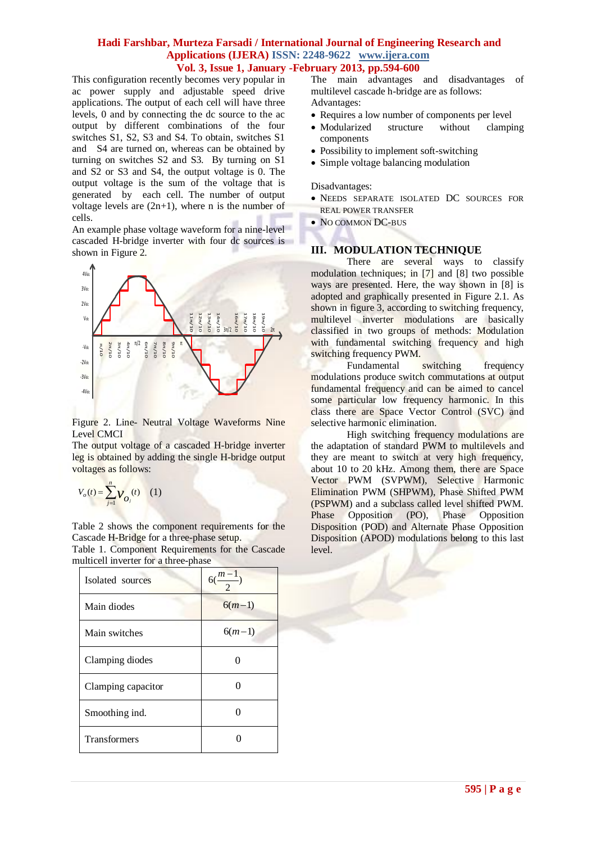This configuration recently becomes very popular in ac power supply and adjustable speed drive applications. The output of each cell will have three levels, 0 and by connecting the dc source to the ac output by different combinations of the four switches S1, S2, S3 and S4. To obtain, switches S1 and S4 are turned on, whereas can be obtained by turning on switches S2 and S3. By turning on S1 and S2 or S3 and S4, the output voltage is 0. The output voltage is the sum of the voltage that is generated by each cell. The number of output voltage levels are  $(2n+1)$ , where n is the number of cells.

An example phase voltage waveform for a nine-level cascaded H-bridge inverter with four dc sources is shown in Figure 2.



Figure 2. Line- Neutral Voltage Waveforms Nine Level CMCI

The output voltage of a cascaded H-bridge inverter leg is obtained by adding the single H-bridge output voltages as follows:

$$
V_o(t) = \sum_{j=1}^{n} V_{O_j}(t) \quad (1)
$$

Table 2 shows the component requirements for the Cascade H-Bridge for a three-phase setup.

Table 1. Component Requirements for the Cascade multicell inverter for a three-phase

| Isolated sources    | $6(\frac{m-1}{2})$ |
|---------------------|--------------------|
| Main diodes         | $6(m-1)$           |
| Main switches       | $6(m-1)$           |
| Clamping diodes     |                    |
| Clamping capacitor  |                    |
| Smoothing ind.      |                    |
| <b>Transformers</b> |                    |

The main advantages and disadvantages of multilevel cascade h-bridge are as follows: Advantages:

- Requires a low number of components per level
- Modularized structure without clamping components
- Possibility to implement soft-switching
- Simple voltage balancing modulation

Disadvantages:

- NEEDS SEPARATE ISOLATED DC SOURCES FOR REAL POWER TRANSFER
- NO COMMON DC-BUS

#### **III. MODULATION TECHNIQUE**

There are several ways to classify modulation techniques; in [7] and [8] two possible ways are presented. Here, the way shown in [8] is adopted and graphically presented in Figure 2.1. As shown in figure 3, according to switching frequency, multilevel inverter modulations are basically classified in two groups of methods: Modulation with fundamental switching frequency and high switching frequency PWM.

Fundamental switching frequency modulations produce switch commutations at output fundamental frequency and can be aimed to cancel some particular low frequency harmonic. In this class there are Space Vector Control (SVC) and selective harmonic elimination.

High switching frequency modulations are the adaptation of standard PWM to multilevels and they are meant to switch at very high frequency, about 10 to 20 kHz. Among them, there are Space Vector PWM (SVPWM), Selective Harmonic Elimination PWM (SHPWM), Phase Shifted PWM (PSPWM) and a subclass called level shifted PWM. Phase Opposition (PO), Phase Opposition Disposition (POD) and Alternate Phase Opposition Disposition (APOD) modulations belong to this last level.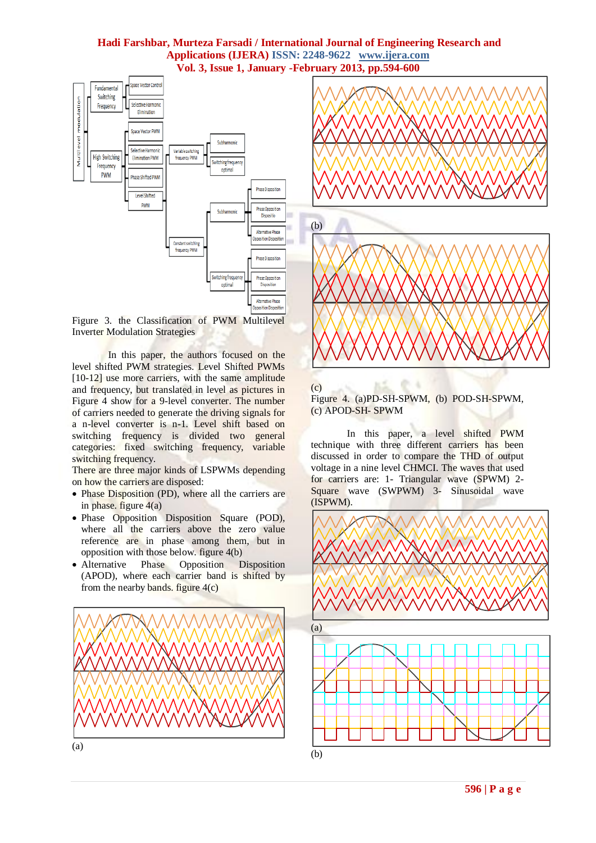

Figure 3. the Classification of PWM Multilevel Inverter Modulation Strategies

In this paper, the authors focused on the level shifted PWM strategies. Level Shifted PWMs [10-12] use more carriers, with the same amplitude and frequency, but translated in level as pictures in Figure 4 show for a 9-level converter. The number of carriers needed to generate the driving signals for a n-level converter is n-1. Level shift based on switching frequency is divided two general categories: fixed switching frequency, variable switching frequency.

There are three major kinds of LSPWMs depending on how the carriers are disposed:

- Phase Disposition (PD), where all the carriers are in phase. figure  $4(a)$
- Phase Opposition Disposition Square (POD), where all the carriers above the zero value reference are in phase among them, but in opposition with those below. figure 4(b)
- Alternative Phase Opposition Disposition (APOD), where each carrier band is shifted by from the nearby bands. figure  $4(c)$





# $(c)$

Figure 4. (a)PD-SH-SPWM, (b) POD-SH-SPWM, (c) APOD-SH- SPWM

In this paper, a level shifted PWM technique with three different carriers has been discussed in order to compare the THD of output voltage in a nine level CHMCI. The waves that used for carriers are: 1- Triangular wave (SPWM) 2- Square wave (SWPWM) 3- Sinusoidal wave (ISPWM).

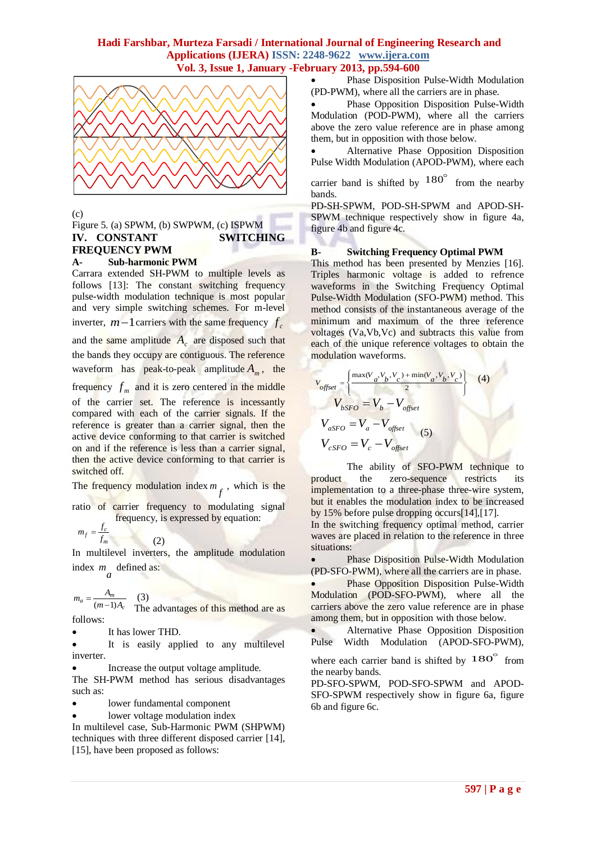

(c)

#### Figure 5. (a) SPWM, (b) SWPWM, (c) ISPWM **IV. CONSTANT SWITCHING FREQUENCY PWM A- Sub-harmonic PWM**

Carrara extended SH-PWM to multiple levels as follows [13]: The constant switching frequency pulse-width modulation technique is most popular and very simple switching schemes. For m-level inverter,  $m-1$  carriers with the same frequency  $f_c$ and the same amplitude  $A_c$  are disposed such that the bands they occupy are contiguous. The reference waveform has peak-to-peak amplitude *Am* , the frequency  $f_m$  and it is zero centered in the middle of the carrier set. The reference is incessantly compared with each of the carrier signals. If the reference is greater than a carrier signal, then the active device conforming to that carrier is switched on and if the reference is less than a carrier signal, then the active device conforming to that carrier is switched off.

The frequency modulation index  $m_f$ , which is the

ratio of carrier frequency to modulating signal frequency, is expressed by equation:

$$
m_f = \frac{f_c}{f_m}
$$

In multilevel inverters, the amplitude modulation index  $m_a$  defined as:

(2)

(3) The advantages of this method are as follows: *c*  $a = \frac{A_m}{(m-1)A_c}$  $m_a = \frac{A_m}{(m-1)}$ 

It has lower THD.

 It is easily applied to any multilevel inverter.

 Increase the output voltage amplitude. The SH-PWM method has serious disadvantages such as:

lower fundamental component

lower voltage modulation index

In multilevel case, Sub-Harmonic PWM (SHPWM) techniques with three different disposed carrier [14], [15], have been proposed as follows:

 Phase Disposition Pulse-Width Modulation (PD-PWM), where all the carriers are in phase.

 Phase Opposition Disposition Pulse-Width Modulation (POD-PWM), where all the carriers above the zero value reference are in phase among them, but in opposition with those below.

 Alternative Phase Opposition Disposition Pulse Width Modulation (APOD-PWM), where each

carrier band is shifted by  $180^\circ$  from the nearby bands.

PD-SH-SPWM, POD-SH-SPWM and APOD-SH-SPWM technique respectively show in figure 4a, figure 4b and figure 4c.

# **B- Switching Frequency Optimal PWM**

This method has been presented by Menzies [16]. Triples harmonic voltage is added to refrence waveforms in the Switching Frequency Optimal Pulse-Width Modulation (SFO-PWM) method. This method consists of the instantaneous average of the minimum and maximum of the three reference voltages (Va,Vb,Vc) and subtracts this value from each of the unique reference voltages to obtain the modulation waveforms.

$$
V_{offset} = \left\{ \frac{\max(V_a, V_b, V_c) + \min(V_a, V_b, V_c)}{2} \right\}
$$
 (4)  

$$
V_{bSFO} = V_b - V_{offset}
$$
  

$$
V_{aSFO} = V_a - V_{offset}
$$
 (5)  

$$
V_{cSFO} = V_c - V_{offset}
$$

The ability of SFO-PWM technique to product the zero-sequence restricts its implementation to a three-phase three-wire system, but it enables the modulation index to be increased by 15% before pulse dropping occurs[14],[17].

In the switching frequency optimal method, carrier waves are placed in relation to the reference in three situations:

 Phase Disposition Pulse-Width Modulation (PD-SFO-PWM), where all the carriers are in phase.

 Phase Opposition Disposition Pulse-Width Modulation (POD-SFO-PWM), where all the carriers above the zero value reference are in phase among them, but in opposition with those below.

**•** Alternative Phase Opposition Disposition Pulse Width Modulation (APOD-SFO-PWM),

where each carrier band is shifted by  $180^\circ$  from the nearby bands.

PD-SFO-SPWM, POD-SFO-SPWM and APOD-SFO-SPWM respectively show in figure 6a, figure 6b and figure 6c.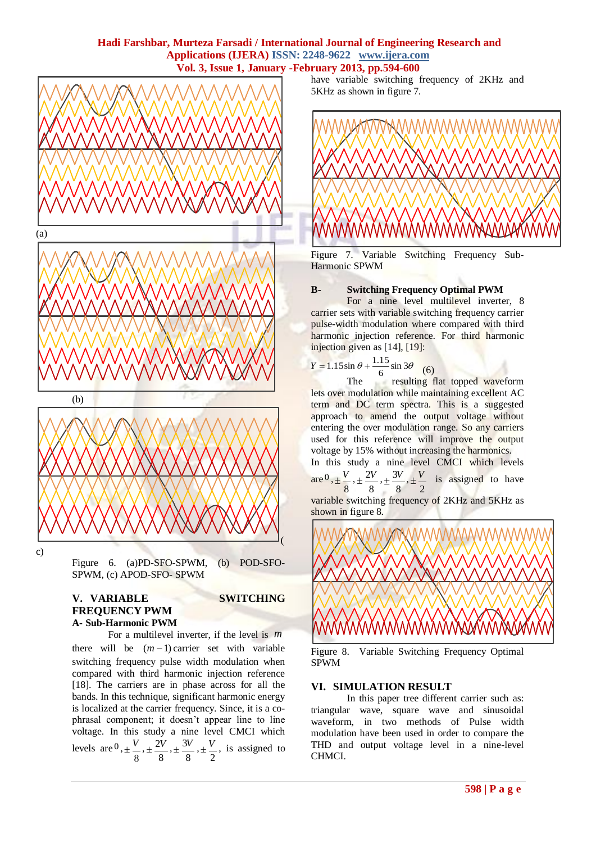

c)

Figure 6. (a)PD-SFO-SPWM, (b) POD-SFO-SPWM, (c) APOD-SFO- SPWM

#### **V. VARIABLE SWITCHING FREQUENCY PWM A- Sub-Harmonic PWM**

For a multilevel inverter, if the level is *m* there will be  $(m-1)$  carrier set with variable switching frequency pulse width modulation when compared with third harmonic injection reference [18]. The carriers are in phase across for all the bands. In this technique, significant harmonic energy is localized at the carrier frequency. Since, it is a cophrasal component; it doesn't appear line to line voltage. In this study a nine level CMCI which levels are  $^0$ , 8  $\pm \frac{V}{\cdot}$ 8  $\pm \frac{2V}{\cdot}$ 8  $\pm \frac{3V}{2}$ 2  $\pm \frac{V}{\cdot}$ , is assigned to have variable switching frequency of 2KHz and 5KHz as shown in figure 7.



Figure 7. Variable Switching Frequency Sub-Harmonic SPWM

#### **B- Switching Frequency Optimal PWM**

For a nine level multilevel inverter, 8 carrier sets with variable switching frequency carrier pulse-width modulation where compared with third harmonic injection reference. For third harmonic injection given as [14], [19]:

$$
Y = 1.15 \sin \theta + \frac{1.15}{6} \sin 3\theta
$$
 (6)

The resulting flat topped waveform lets over modulation while maintaining excellent AC term and DC term spectra. This is a suggested approach to amend the output voltage without entering the over modulation range. So any carriers used for this reference will improve the output voltage by 15% without increasing the harmonics.

In this study a nine level CMCI which levels are 0 , 8  $\pm \frac{V}{\epsilon}$ 8  $\pm \frac{2V}{\cdot}$ 8  $\pm \frac{3V}{2}$ 2  $\pm \frac{V}{I}$  is assigned to have

variable switching frequency of 2KHz and 5KHz as shown in figure 8.



Figure 8. Variable Switching Frequency Optimal SPWM

# **VI. SIMULATION RESULT**

In this paper tree different carrier such as: triangular wave, square wave and sinusoidal waveform, in two methods of Pulse width modulation have been used in order to compare the THD and output voltage level in a nine-level CHMCI.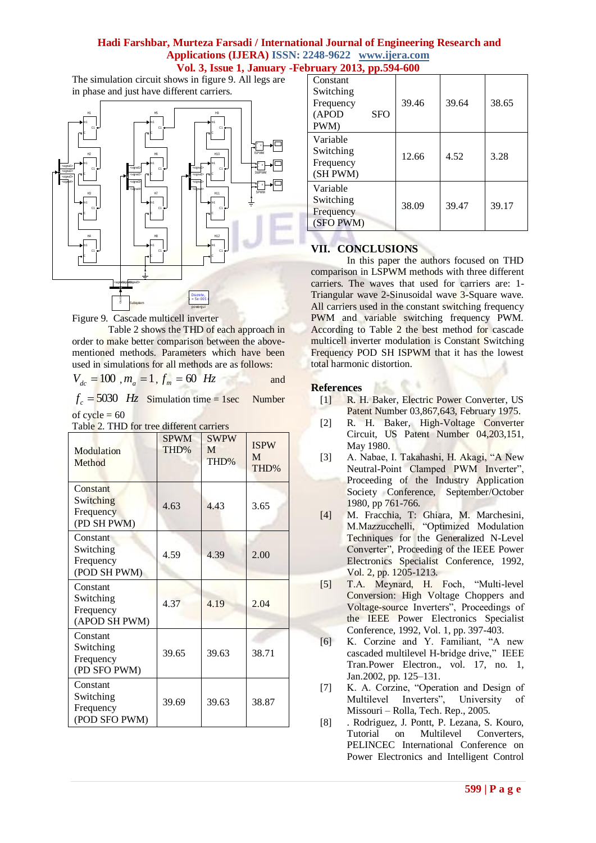The simulation circuit shows in figure 9. All legs are in phase and just have different carriers.



Figure 9. Cascade multicell inverter

Table 2 shows the THD of each approach in order to make better comparison between the abovementioned methods. Parameters which have been used in simulations for all methods are as follows:

 $f_c = 5030$  *Hz* Simulation time = 1sec Number of  $cycle = 60$ 

| Modulation<br>Method                                | <b>SPWM</b><br>THD% | <b>SWPW</b><br>M<br>THD% | <b>ISPW</b><br>M<br>THD% |
|-----------------------------------------------------|---------------------|--------------------------|--------------------------|
| Constant<br>Switching<br>Frequency<br>(PD SH PWM)   | 4.63                | 4.43                     | 3.65                     |
| Constant<br>Switching<br>Frequency<br>(POD SH PWM)  | 4.59                | 4.39                     | 2.00                     |
| Constant<br>Switching<br>Frequency<br>(APOD SH PWM) | 4.37                | 4.19                     | 2.04                     |
| Constant<br>Switching<br>Frequency<br>(PD SFO PWM)  | 39.65               | 39.63                    | 38.71                    |
| Constant<br>Switching<br>Frequency<br>(POD SFO PWM) | 39.69               | 39.63                    | 38.87                    |

|  |  |  | Table 2. THD for tree different carriers |  |
|--|--|--|------------------------------------------|--|

| Constant<br>Switching<br>Frequency<br><b>SFO</b><br>(APOD<br>PWM) | 39.46 | 39.64 | 38.65 |
|-------------------------------------------------------------------|-------|-------|-------|
| Variable<br>Switching<br>Frequency<br>(SH PWM)                    | 12.66 | 4.52  | 3.28  |
| Variable<br>Switching<br>Frequency<br>(SFO PWM)                   | 38.09 | 39.47 | 39.17 |

# **VII. CONCLUSIONS**

In this paper the authors focused on THD comparison in LSPWM methods with three different carriers. The waves that used for carriers are: 1- Triangular wave 2-Sinusoidal wave 3-Square wave. All carriers used in the constant switching frequency PWM and variable switching frequency PWM. According to Table 2 the best method for cascade multicell inverter modulation is Constant Switching Frequency POD SH ISPWM that it has the lowest total harmonic distortion.

# **References**

- [1] R. H. Baker, Electric Power Converter, US Patent Number 03,867,643, February 1975.
- [2] R. H. Baker, High-Voltage Converter Circuit, US Patent Number 04,203,151, May 1980.
- [3] A. Nabae, I. Takahashi, H. Akagi, "A New Neutral-Point Clamped PWM Inverter", Proceeding of the Industry Application Society Conference, September/October 1980, pp 761-766.
- [4] M. Fracchia, T: Ghiara, M. Marchesini, M.Mazzucchelli, "Optimized Modulation Techniques for the Generalized N-Level Converter", Proceeding of the IEEE Power Electronics Specialist Conference, 1992, Vol. 2, pp. 1205-1213.
- [5] T.A. Meynard, H. Foch, "Multi-level Conversion: High Voltage Choppers and Voltage-source Inverters", Proceedings of the IEEE Power Electronics Specialist Conference, 1992, Vol. 1, pp. 397-403.
- [6] K. Corzine and Y. Familiant, "A new cascaded multilevel H-bridge drive," IEEE Tran.Power Electron., vol. 17, no. 1, Jan.2002, pp. 125–131.
- [7] K. A. Corzine, "Operation and Design of Multilevel Inverters", University Missouri – Rolla, Tech. Rep., 2005.
- [8] . Rodriguez, J. Pontt, P. Lezana, S. Kouro, Tutorial on Multilevel Converters, PELINCEC International Conference on Power Electronics and Intelligent Control